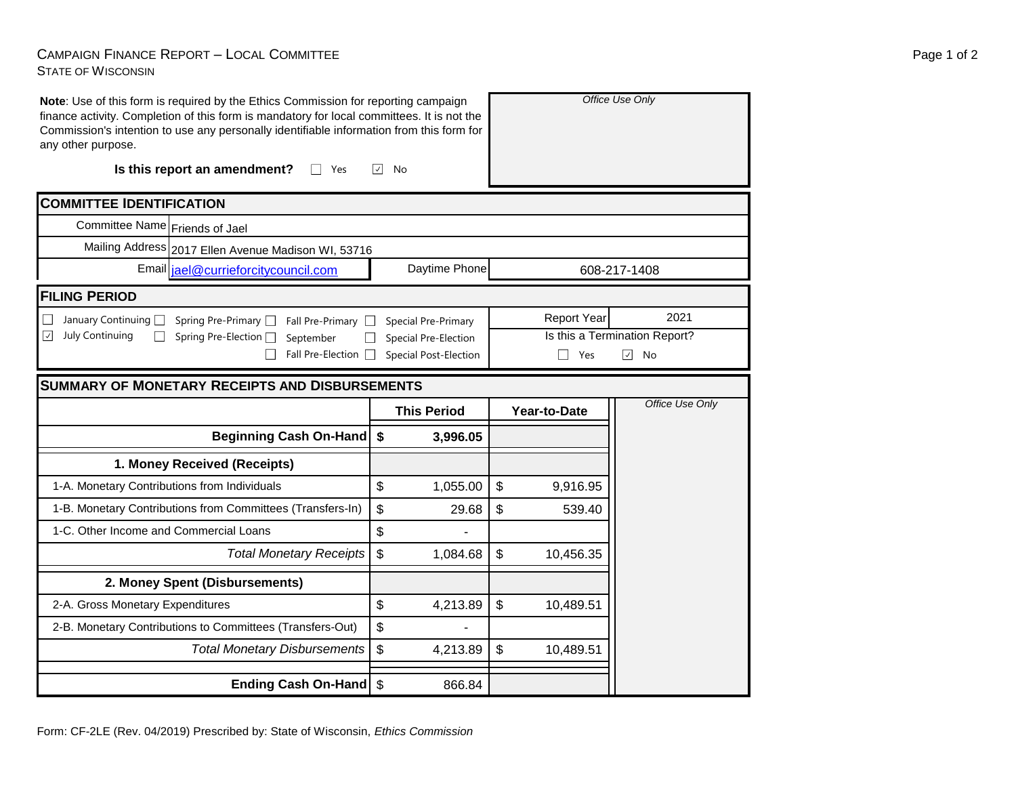## CAMPAIGN FINANCE REPORT – LOCAL COMMITTEE STATE OF WISCONSIN

| Note: Use of this form is required by the Ethics Commission for reporting campaign<br>finance activity. Completion of this form is mandatory for local committees. It is not the<br>Commission's intention to use any personally identifiable information from this form for<br>any other purpose. |                               |                              | Office Use Only               |              |                  |  |  |  |
|----------------------------------------------------------------------------------------------------------------------------------------------------------------------------------------------------------------------------------------------------------------------------------------------------|-------------------------------|------------------------------|-------------------------------|--------------|------------------|--|--|--|
| Is this report an amendment?<br>Yes<br>$\perp$                                                                                                                                                                                                                                                     | $\vert \vee \vert$<br>No      |                              |                               |              |                  |  |  |  |
| <b>COMMITTEE IDENTIFICATION</b>                                                                                                                                                                                                                                                                    |                               |                              |                               |              |                  |  |  |  |
| Committee Name Friends of Jael                                                                                                                                                                                                                                                                     |                               |                              |                               |              |                  |  |  |  |
| Mailing Address 2017 Ellen Avenue Madison WI, 53716                                                                                                                                                                                                                                                |                               |                              |                               |              |                  |  |  |  |
| Email jael@currieforcitycouncil.com                                                                                                                                                                                                                                                                | Daytime Phone<br>608-217-1408 |                              |                               |              |                  |  |  |  |
| <b>FILING PERIOD</b>                                                                                                                                                                                                                                                                               |                               |                              |                               |              |                  |  |  |  |
| January Continuing <sup>1</sup><br>Spring Pre-Primary □<br>Fall Pre-Primary $\Box$<br>Special Pre-Primary                                                                                                                                                                                          |                               |                              | <b>Report Year</b>            | 2021         |                  |  |  |  |
| July Continuing<br>$\vert\downarrow\vert$<br>Spring Pre-Election □<br>September                                                                                                                                                                                                                    | Special Pre-Election          |                              | Is this a Termination Report? |              |                  |  |  |  |
| Fall Pre-Election $\Box$                                                                                                                                                                                                                                                                           |                               | <b>Special Post-Election</b> |                               | П<br>Yes     | $\sqrt{ }$<br>No |  |  |  |
| <b>SUMMARY OF MONETARY RECEIPTS AND DISBURSEMENTS</b>                                                                                                                                                                                                                                              |                               |                              |                               |              |                  |  |  |  |
|                                                                                                                                                                                                                                                                                                    |                               | <b>This Period</b>           |                               | Year-to-Date | Office Use Only  |  |  |  |
| <b>Beginning Cash On-Hand</b>                                                                                                                                                                                                                                                                      | \$                            | 3,996.05                     |                               |              |                  |  |  |  |
| 1. Money Received (Receipts)                                                                                                                                                                                                                                                                       |                               |                              |                               |              |                  |  |  |  |
| 1-A. Monetary Contributions from Individuals                                                                                                                                                                                                                                                       | $\boldsymbol{\mathsf{S}}$     | 1,055.00                     | $\boldsymbol{\mathsf{S}}$     | 9,916.95     |                  |  |  |  |
| 1-B. Monetary Contributions from Committees (Transfers-In)                                                                                                                                                                                                                                         | \$                            | 29.68                        | \$                            | 539.40       |                  |  |  |  |
| 1-C. Other Income and Commercial Loans                                                                                                                                                                                                                                                             | \$                            |                              |                               |              |                  |  |  |  |
| <b>Total Monetary Receipts</b>                                                                                                                                                                                                                                                                     | $\boldsymbol{\mathsf{S}}$     | 1,084.68                     | \$                            | 10,456.35    |                  |  |  |  |
| 2. Money Spent (Disbursements)                                                                                                                                                                                                                                                                     |                               |                              |                               |              |                  |  |  |  |
| 2-A. Gross Monetary Expenditures                                                                                                                                                                                                                                                                   | \$                            | 4,213.89                     | \$                            | 10,489.51    |                  |  |  |  |
| 2-B. Monetary Contributions to Committees (Transfers-Out)                                                                                                                                                                                                                                          | \$                            |                              |                               |              |                  |  |  |  |
| <b>Total Monetary Disbursements</b>                                                                                                                                                                                                                                                                | $\mathfrak{S}$                | 4,213.89                     | \$                            | 10,489.51    |                  |  |  |  |
| Ending Cash On-Hand \$                                                                                                                                                                                                                                                                             |                               | 866.84                       |                               |              |                  |  |  |  |